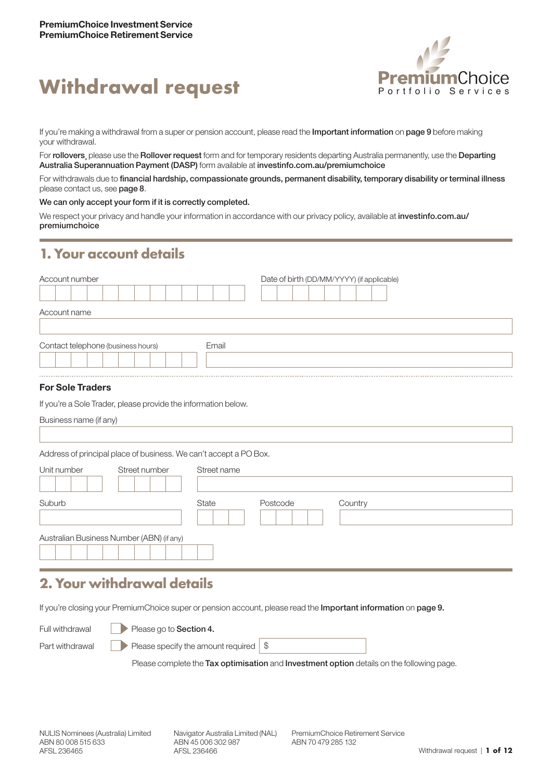

# Withdrawal request **Premium**Choice

If you're making a withdrawal from a super or pension account, please read the Important information on page 9 before making your withdrawal.

For rollovers, please use the Rollover request form and for temporary residents departing Australia permanently, use the Departing Australia Superannuation Payment (DASP) form available at investinfo.com.au/premiumchoice

For withdrawals due to financial hardship, compassionate grounds, permanent disability, temporary disability or terminal illness please contact us, see page 8.

#### We can only accept your form if it is correctly completed.

We respect your privacy and handle your information in accordance with our privacy policy, available at *investinfo.com.au/* premiumchoice

### **1. Your account details**

| Account number                              | Date of birth (DD/MM/YYYY) (if applicable) |
|---------------------------------------------|--------------------------------------------|
| Account name                                |                                            |
| Contact telephone (business hours)<br>Email |                                            |

#### For Sole Traders

If you're a Sole Trader, please provide the information below.

Business name (if any)

Address of principal place of business. We can't accept a PO Box.

| Unit number                               | Street number | Street name |          |         |  |
|-------------------------------------------|---------------|-------------|----------|---------|--|
|                                           |               |             |          |         |  |
| Suburb                                    |               | State       | Postcode | Country |  |
|                                           |               |             |          |         |  |
| Australian Business Number (ABN) (if any) |               |             |          |         |  |
|                                           |               |             |          |         |  |

### **2. Your withdrawal details**

If you're closing your PremiumChoice super or pension account, please read the Important information on page 9.



Navigator Australia Limited (NAL) ABN 45 006 302 987 AFSL 236466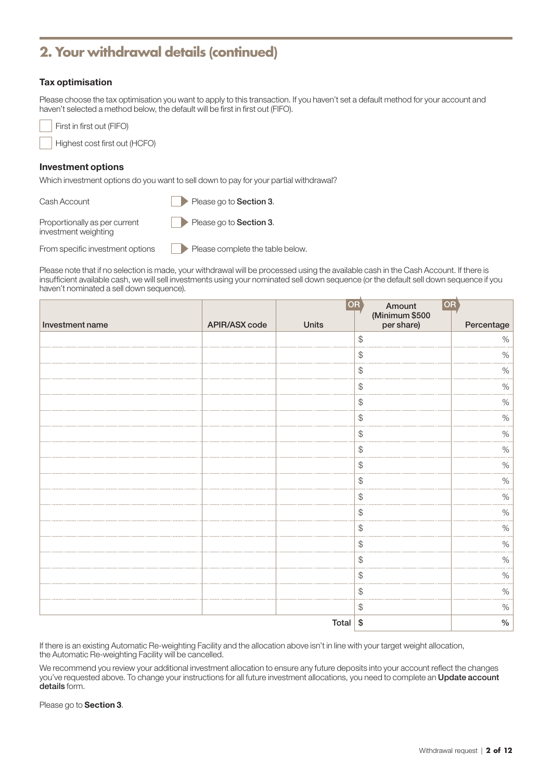### **2. Your withdrawal details (continued)**

#### Tax optimisation

Please choose the tax optimisation you want to apply to this transaction. If you haven't set a default method for your account and haven't selected a method below, the default will be first in first out (FIFO).



Highest cost first out (HCFO)

#### Investment options

Which investment options do you want to sell down to pay for your partial withdrawal?

| Cash Account | Please go to Section 3. |
|--------------|-------------------------|
|--------------|-------------------------|

investment weighting

Proportionally as per current Please go to Section 3.

From specific investment options Please complete the table below.

Please note that if no selection is made, your withdrawal will be processed using the available cash in the Cash Account. If there is insufficient available cash, we will sell investments using your nominated sell down sequence (or the default sell down sequence if you haven't nominated a sell down sequence).

|                 |               |              | $\ket{\textsf{OR}}$<br> OR<br>Amount              |            |
|-----------------|---------------|--------------|---------------------------------------------------|------------|
| Investment name | APIR/ASX code | <b>Units</b> | (Minimum \$500<br>per share)                      | Percentage |
|                 |               |              | $\mathcal{L}$                                     | $\%$       |
|                 |               |              | $\frac{1}{2}$                                     | $\%$       |
|                 |               |              | $\, \, \raisebox{-1.5pt}{\text{\circle*{1.5}}}\,$ | $\%$       |
|                 |               |              | $\frac{1}{2}$                                     | $\%$       |
|                 |               |              | $\frac{1}{2}$                                     | $\%$       |
|                 |               |              | $\frac{1}{2}$                                     | $\%$       |
|                 |               |              | $\, \, \raisebox{-1.5pt}{\text{\circle*{1.5}}}\,$ | $\%$       |
|                 |               |              | $\, \, \raisebox{-1.5pt}{\text{\circle*{1.5}}}\,$ | $\%$       |
|                 |               |              | $\, \, \raisebox{12pt}{$\scriptstyle \circ$}$     | $\%$       |
|                 |               |              | $\frac{1}{2}$                                     | $\%$       |
|                 |               |              | $\frac{1}{2}$                                     | $\%$       |
|                 |               |              | $\frac{1}{2}$                                     | $\%$       |
|                 |               |              | $\, \, \raisebox{-1.5pt}{\text{\circle*{1.5}}}\,$ | $\%$       |
|                 |               |              | $\frac{1}{2}$                                     | $\%$       |
|                 |               |              | $\, \, \raisebox{-1.5pt}{\text{\circle*{1.5}}}\,$ | $\%$       |
|                 |               |              | $\frac{1}{2}$                                     | $\%$       |
|                 |               |              | $\frac{1}{2}$                                     | $\%$       |
|                 |               |              | $\mathcal{L}$                                     | $\%$       |
|                 |               | Total        | $\boldsymbol{\mathsf{S}}$                         | $\%$       |

If there is an existing Automatic Re-weighting Facility and the allocation above isn't in line with your target weight allocation, the Automatic Re-weighting Facility will be cancelled.

We recommend you review your additional investment allocation to ensure any future deposits into your account reflect the changes you've requested above. To change your instructions for all future investment allocations, you need to complete an Update account details form.

Please go to **Section 3**.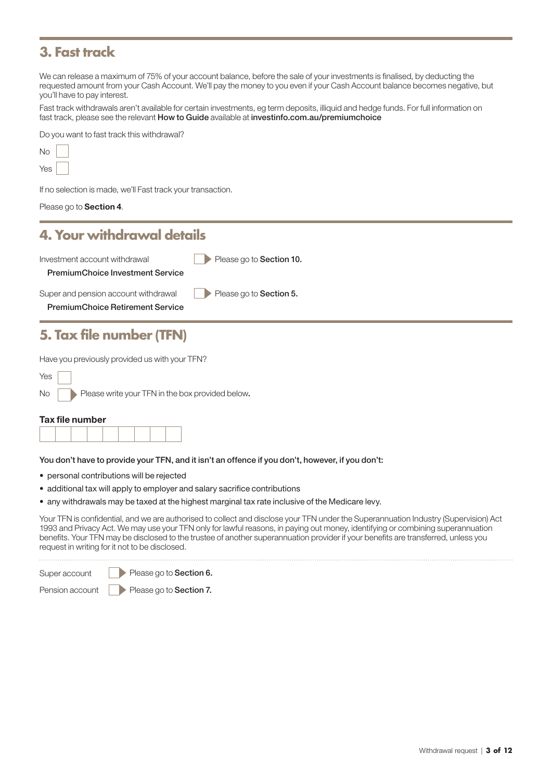### **3. Fast track**

We can release a maximum of 75% of your account balance, before the sale of your investments is finalised, by deducting the requested amount from your Cash Account. We'll pay the money to you even if your Cash Account balance becomes negative, but you'll have to pay interest.

Fast track withdrawals aren't available for certain investments, eg term deposits, illiquid and hedge funds. For full information on fast track, please see the relevant How to Guide available at investinfo.com.au/premiumchoice

Do you want to fast track this withdrawal?



If no selection is made, we'll Fast track your transaction.

Please go to Section 4.

### **4. Your withdrawal details**

Investment account withdrawal Please go to Section 10. PremiumChoice Investment Service

Super and pension account withdrawal Please go to Section 5. PremiumChoice Retirement Service

### **5. Tax file number (TFN)**

Have you previously provided us with your TFN?

| Yes $\vert \ \ \vert$ |                                                                 |
|-----------------------|-----------------------------------------------------------------|
|                       | No $\parallel$ Please write your TFN in the box provided below. |
|                       |                                                                 |

#### Tax file number

#### You don't have to provide your TFN, and it isn't an offence if you don't, however, if you don't:

- personal contributions will be rejected
- additional tax will apply to employer and salary sacrifice contributions
- any withdrawals may be taxed at the highest marginal tax rate inclusive of the Medicare levy.

Your TFN is confidential, and we are authorised to collect and disclose your TFN under the Superannuation Industry (Supervision) Act 1993 and Privacy Act. We may use your TFN only for lawful reasons, in paying out money, identifying or combining superannuation benefits. Your TFN may be disclosed to the trustee of another superannuation provider if your benefits are transferred, unless you request in writing for it not to be disclosed.

Super account Please go to Section 6. Pension account **Please go to Section 7.**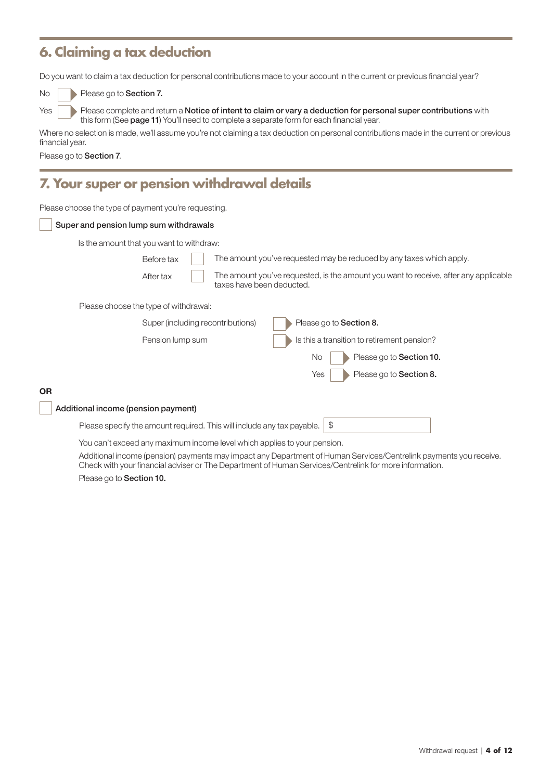### **6. Claiming a tax deduction**

Do you want to claim a tax deduction for personal contributions made to your account in the current or previous financial year?

|  | Please go to Section 7. |
|--|-------------------------|
|--|-------------------------|

Yes Please complete and return a **Notice of intent to claim or vary a deduction for personal super contributions** with this form (See **page 11**) You'll need to complete a separate form for each financial year.

Where no selection is made, we'll assume you're not claiming a tax deduction on personal contributions made in the current or previous financial year.

Please go to Section 7.

### **7. Your super or pension withdrawal details**

Please choose the type of payment you're requesting.

| Please choose the type of payment you re requesting. |                                                                          |                           |           |                                                                                      |
|------------------------------------------------------|--------------------------------------------------------------------------|---------------------------|-----------|--------------------------------------------------------------------------------------|
| Super and pension lump sum withdrawals               |                                                                          |                           |           |                                                                                      |
|                                                      | Is the amount that you want to withdraw:                                 |                           |           |                                                                                      |
|                                                      | Before tax                                                               |                           |           | The amount you've requested may be reduced by any taxes which apply.                 |
|                                                      | After tax                                                                | taxes have been deducted. |           | The amount you've requested, is the amount you want to receive, after any applicable |
|                                                      | Please choose the type of withdrawal:                                    |                           |           |                                                                                      |
|                                                      | Super (including recontributions)                                        |                           |           | Please go to Section 8.                                                              |
|                                                      | Pension lump sum                                                         |                           |           | Is this a transition to retirement pension?                                          |
|                                                      |                                                                          |                           | <b>No</b> | Please go to Section 10.                                                             |
|                                                      |                                                                          |                           | Yes       | Please go to Section 8.                                                              |
| <b>OR</b>                                            |                                                                          |                           |           |                                                                                      |
| Additional income (pension payment)                  |                                                                          |                           |           |                                                                                      |
|                                                      | Please specify the amount required. This will include any tax payable.   |                           |           | \$                                                                                   |
|                                                      | You can't exceed any maximum income level which applies to your pension. |                           |           |                                                                                      |

Additional income (pension) payments may impact any Department of Human Services/Centrelink payments you receive. Check with your financial adviser or The Department of Human Services/Centrelink for more information.

Please go to Section 10.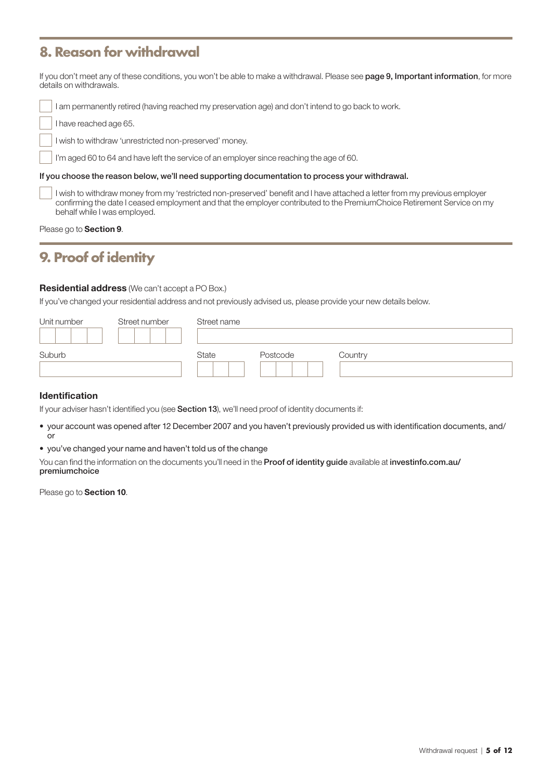### **8. Reason for withdrawal**

If you don't meet any of these conditions, you won't be able to make a withdrawal. Please see page 9, Important information, for more details on withdrawals.

I am permanently retired (having reached my preservation age) and don't intend to go back to work.

I have reached age 65.

I wish to withdraw 'unrestricted non-preserved' money.

I'm aged 60 to 64 and have left the service of an employer since reaching the age of 60.

#### If you choose the reason below, we'll need supporting documentation to process your withdrawal.

 I wish to withdraw money from my 'restricted non-preserved' benefit and I have attached a letter from my previous employer confirming the date I ceased employment and that the employer contributed to the PremiumChoice Retirement Service on my behalf while I was employed.

Please go to Section 9.

### **9. Proof of identity**

#### Residential address (We can't accept a PO Box.)

If you've changed your residential address and not previously advised us, please provide your new details below.

| Unit number | Street number | Street name |          |         |
|-------------|---------------|-------------|----------|---------|
| Suburb      |               | State       | Postcode | Country |

#### Identification

If your adviser hasn't identified you (see Section 13), we'll need proof of identity documents if:

- your account was opened after 12 December 2007 and you haven't previously provided us with identification documents, and/ or
- you've changed your name and haven't told us of the change

You can find the information on the documents you'll need in the Proof of identity guide available at investinfo.com.au/ premiumchoice

Please go to **Section 10**.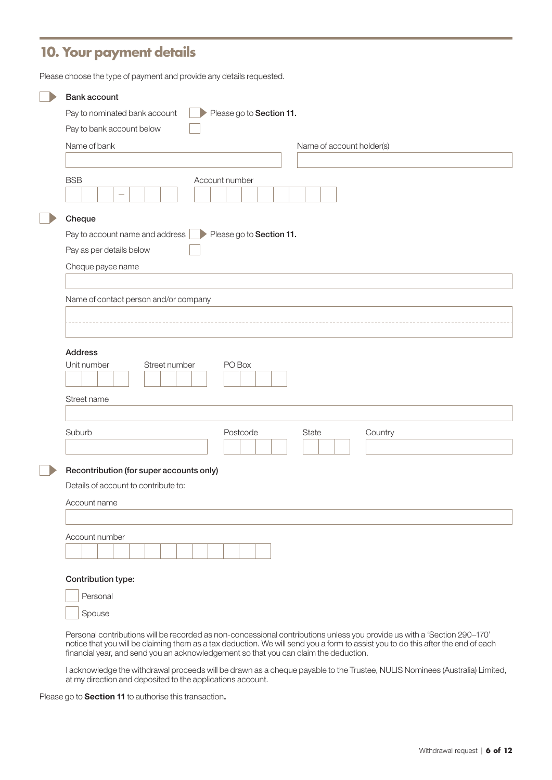## **10. Your payment details**

Please choose the type of payment and provide any details requested.

| <b>Bank account</b>                                                                                                                                                                                                                                                    |                           |
|------------------------------------------------------------------------------------------------------------------------------------------------------------------------------------------------------------------------------------------------------------------------|---------------------------|
| Please go to Section 11.<br>Pay to nominated bank account                                                                                                                                                                                                              |                           |
| Pay to bank account below                                                                                                                                                                                                                                              |                           |
| Name of bank                                                                                                                                                                                                                                                           | Name of account holder(s) |
|                                                                                                                                                                                                                                                                        |                           |
| <b>BSB</b><br>Account number                                                                                                                                                                                                                                           |                           |
|                                                                                                                                                                                                                                                                        |                           |
| Cheque                                                                                                                                                                                                                                                                 |                           |
| Please go to Section 11.<br>Pay to account name and address                                                                                                                                                                                                            |                           |
| Pay as per details below                                                                                                                                                                                                                                               |                           |
| Cheque payee name                                                                                                                                                                                                                                                      |                           |
|                                                                                                                                                                                                                                                                        |                           |
| Name of contact person and/or company                                                                                                                                                                                                                                  |                           |
|                                                                                                                                                                                                                                                                        |                           |
|                                                                                                                                                                                                                                                                        |                           |
|                                                                                                                                                                                                                                                                        |                           |
| <b>Address</b><br>Unit number<br>Street number<br>PO Box                                                                                                                                                                                                               |                           |
|                                                                                                                                                                                                                                                                        |                           |
|                                                                                                                                                                                                                                                                        |                           |
| Street name                                                                                                                                                                                                                                                            |                           |
|                                                                                                                                                                                                                                                                        |                           |
| Suburb<br>Postcode                                                                                                                                                                                                                                                     | Country<br>State          |
|                                                                                                                                                                                                                                                                        |                           |
| Recontribution (for super accounts only)                                                                                                                                                                                                                               |                           |
| Details of account to contribute to:                                                                                                                                                                                                                                   |                           |
| Account name                                                                                                                                                                                                                                                           |                           |
|                                                                                                                                                                                                                                                                        |                           |
| Account number                                                                                                                                                                                                                                                         |                           |
|                                                                                                                                                                                                                                                                        |                           |
|                                                                                                                                                                                                                                                                        |                           |
| Contribution type:                                                                                                                                                                                                                                                     |                           |
| Personal                                                                                                                                                                                                                                                               |                           |
|                                                                                                                                                                                                                                                                        |                           |
|                                                                                                                                                                                                                                                                        |                           |
| Spouse<br>Personal contributions will be recorded as non-concessional contributions unless you provide us with a 'Section 290-170'<br>notice that you will be claiming them as a tax deduction. We will send you a form to assist you to do this after the end of each |                           |

I acknowledge the withdrawal proceeds will be drawn as a cheque payable to the Trustee, NULIS Nominees (Australia) Limited, at my direction and deposited to the applications account.

financial year, and send you an acknowledgement so that you can claim the deduction.

Please go to **Section 11** to authorise this transaction.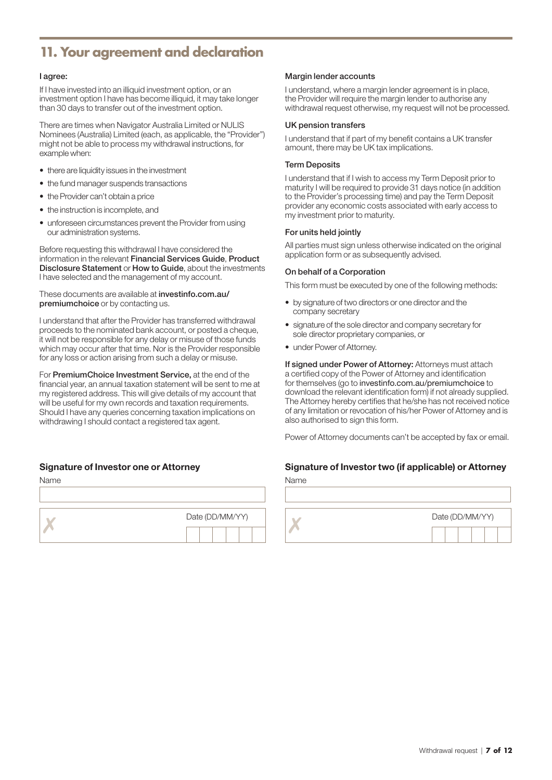### **11. Your agreement and declaration**

#### I agree:

If I have invested into an illiquid investment option, or an investment option I have has become illiquid, it may take longer than 30 days to transfer out of the investment option.

There are times when Navigator Australia Limited or NULIS Nominees (Australia) Limited (each, as applicable, the "Provider") might not be able to process my withdrawal instructions, for example when:

- there are liquidity issues in the investment
- the fund manager suspends transactions
- the Provider can't obtain a price
- the instruction is incomplete, and
- unforeseen circumstances prevent the Provider from using our administration systems.

Before requesting this withdrawal I have considered the information in the relevant Financial Services Guide, Product Disclosure Statement or How to Guide, about the investments I have selected and the management of my account.

#### These documents are available at investinfo.com.au/ premiumchoice or by contacting us.

I understand that after the Provider has transferred withdrawal proceeds to the nominated bank account, or posted a cheque, it will not be responsible for any delay or misuse of those funds which may occur after that time. Nor is the Provider responsible for any loss or action arising from such a delay or misuse.

For PremiumChoice Investment Service, at the end of the financial year, an annual taxation statement will be sent to me at my registered address. This will give details of my account that will be useful for my own records and taxation requirements. Should I have any queries concerning taxation implications on withdrawing I should contact a registered tax agent.

| Name |                 | Name |
|------|-----------------|------|
|      |                 |      |
|      | Date (DD/MM/YY) |      |
|      |                 |      |

#### Margin lender accounts

I understand, where a margin lender agreement is in place, the Provider will require the margin lender to authorise any withdrawal request otherwise, my request will not be processed.

#### UK pension transfers

I understand that if part of my benefit contains a UK transfer amount, there may be UK tax implications.

#### Term Deposits

I understand that if I wish to access my Term Deposit prior to maturity I will be required to provide 31 days notice (in addition to the Provider's processing time) and pay the Term Deposit provider any economic costs associated with early access to my investment prior to maturity.

#### For units held jointly

All parties must sign unless otherwise indicated on the original application form or as subsequently advised.

#### On behalf of a Corporation

This form must be executed by one of the following methods:

- by signature of two directors or one director and the company secretary
- signature of the sole director and company secretary for sole director proprietary companies, or
- under Power of Attorney.

If signed under Power of Attorney: Attorneys must attach a certified copy of the Power of Attorney and identification for themselves (go to investinfo.com.au/premiumchoice to download the relevant identification form) if not already supplied. The Attorney hereby certifies that he/she has not received notice of any limitation or revocation of his/her Power of Attorney and is also authorised to sign this form.

Power of Attorney documents can't be accepted by fax or email.

### Signature of Investor one or Attorney Signature of Investor two (if applicable) or Attorney

|                 | Name |                 |
|-----------------|------|-----------------|
|                 |      |                 |
|                 |      |                 |
| Date (DD/MM/YY) |      | Date (DD/MM/YY) |
|                 |      |                 |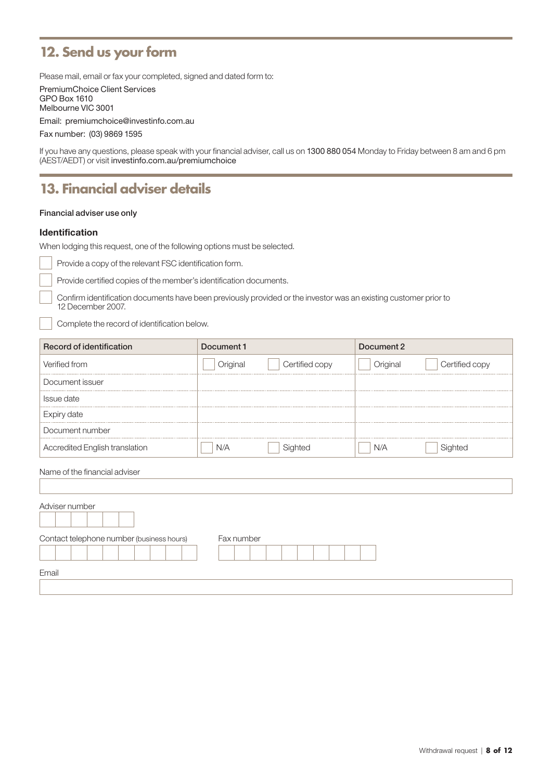### **12. Send us your form**

Please mail, email or fax your completed, signed and dated form to:

PremiumChoice Client Services GPO Box 1610 Melbourne VIC 3001 Email: premiumchoice@investinfo.com.au

Fax number: (03) 9869 1595

If you have any questions, please speak with your financial adviser, call us on 1300 880 054 Monday to Friday between 8 am and 6 pm (AEST/AEDT) or visit investinfo.com.au/premiumchoice

### **13. Financial adviser details**

#### Financial adviser use only

#### Identification

When lodging this request, one of the following options must be selected.

Provide a copy of the relevant FSC identification form.

Provide certified copies of the member's identification documents.

 Confirm identification documents have been previously provided or the investor was an existing customer prior to 12 December 2007.

Complete the record of identification below.

| Record of identification                                    | Document 1                 | Document 2                 |
|-------------------------------------------------------------|----------------------------|----------------------------|
| Verified from                                               | Original<br>Certified copy | Original<br>Certified copy |
| Document issuer                                             |                            |                            |
| Issue date                                                  |                            |                            |
| Expiry date                                                 |                            |                            |
| Document number                                             |                            |                            |
| Accredited English translation                              | Sighted<br>N/A             | Sighted<br>N/A             |
| Name of the financial adviser                               |                            |                            |
| Adviser number<br>Contact telephone number (business hours) | Fax number                 |                            |
| Email                                                       |                            |                            |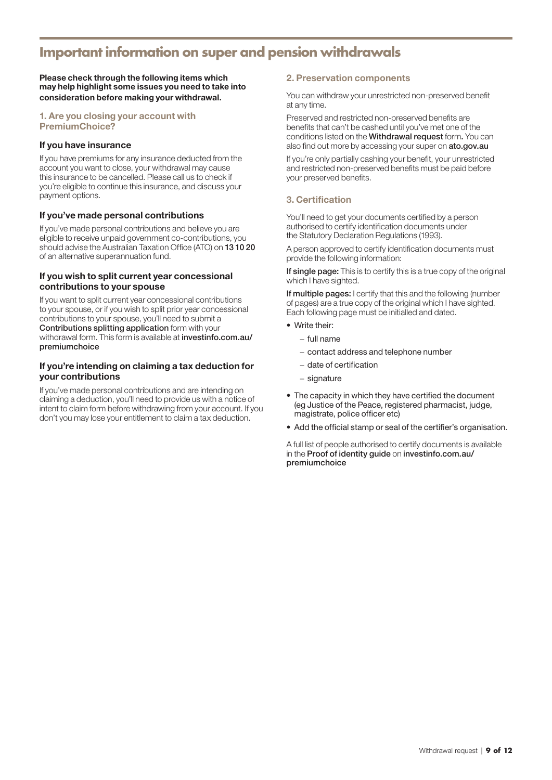### **Important information on super and pension withdrawals**

Please check through the following items which may help highlight some issues you need to take into consideration before making your withdrawal.

1. Are you closing your account with PremiumChoice?

#### If you have insurance

If you have premiums for any insurance deducted from the account you want to close, your withdrawal may cause this insurance to be cancelled. Please call us to check if you're eligible to continue this insurance, and discuss your payment options.

#### If you've made personal contributions

If you've made personal contributions and believe you are eligible to receive unpaid government co-contributions, you should advise the Australian Taxation Office (ATO) on 13 10 20 of an alternative superannuation fund.

#### If you wish to split current year concessional contributions to your spouse

If you want to split current year concessional contributions to your spouse, or if you wish to split prior year concessional contributions to your spouse, you'll need to submit a Contributions splitting application form with your withdrawal form. This form is available at **investinfo.com.au/** premiumchoice

#### If you're intending on claiming a tax deduction for your contributions

If you've made personal contributions and are intending on claiming a deduction, you'll need to provide us with a notice of intent to claim form before withdrawing from your account. If you don't you may lose your entitlement to claim a tax deduction.

#### 2. Preservation components

You can withdraw your unrestricted non-preserved benefit at any time.

Preserved and restricted non-preserved benefits are benefits that can't be cashed until you've met one of the conditions listed on the Withdrawal request form. You can also find out more by accessing your super on ato.gov.au

If you're only partially cashing your benefit, your unrestricted and restricted non-preserved benefits must be paid before your preserved benefits.

#### 3. Certification

You'll need to get your documents certified by a person authorised to certify identification documents under the Statutory Declaration Regulations (1993).

A person approved to certify identification documents must provide the following information:

If single page: This is to certify this is a true copy of the original which I have sighted.

If multiple pages: I certify that this and the following (number of pages) are a true copy of the original which I have sighted. Each following page must be initialled and dated.

- Write their:
	- − full name
	- − contact address and telephone number
	- − date of certification
	- − signature
- The capacity in which they have certified the document (eg Justice of the Peace, registered pharmacist, judge, magistrate, police officer etc)
- Add the official stamp or seal of the certifier's organisation.

A full list of people authorised to certify documents is available in the Proof of identity guide on investinfo.com.au/ premiumchoice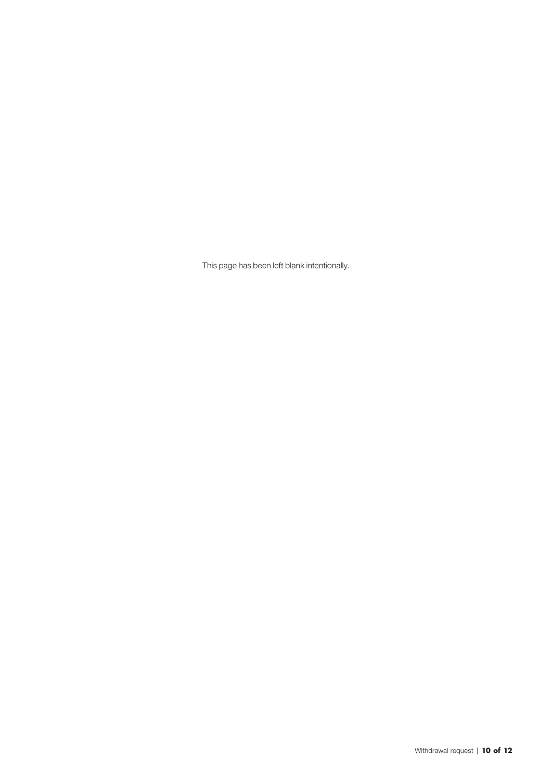This page has been left blank intentionally.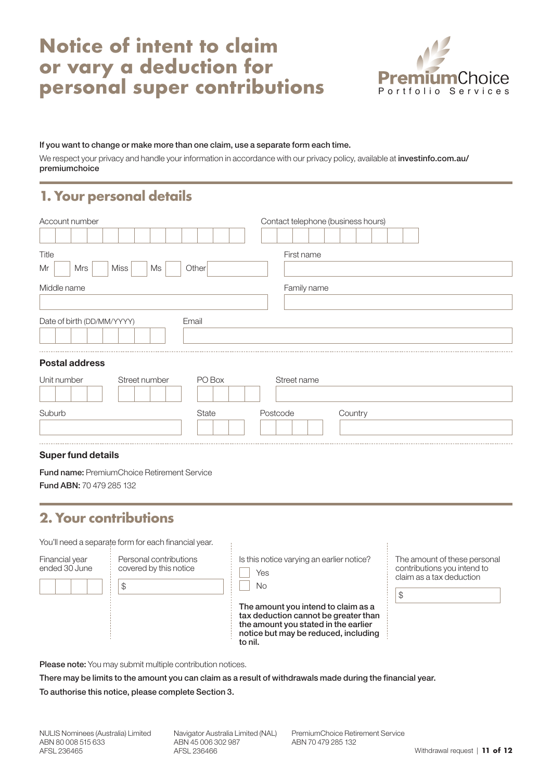# **Notice of intent to claim or vary a deduction for personal super contributions** PremiumChoice



#### If you want to change or make more than one claim, use a separate form each time.

We respect your privacy and handle your information in accordance with our privacy policy, available at *investinfo.com.au/* premiumchoice

### **1. Your personal details**

| Account number                         | Contact telephone (business hours) |
|----------------------------------------|------------------------------------|
|                                        |                                    |
| Title                                  | First name                         |
| Other<br>Mr<br>Mrs<br>Miss<br>Ms       |                                    |
| Middle name                            | Family name                        |
|                                        |                                    |
| Date of birth (DD/MM/YYYY)<br>Email    |                                    |
| <b>Postal address</b>                  |                                    |
| Unit number<br>PO Box<br>Street number | Street name                        |
| Suburb<br>State                        | Postcode<br>Country                |
| <b>Super fund details</b>              |                                    |

Fund name: PremiumChoice Retirement Service Fund ABN: 70 479 285 132

### **2. Your contributions**

You'll need a separate form for each financial year.

| Financial year<br>ended 30 June | Personal contributions<br>covered by this notice<br>\$ | Is this notice varying an earlier notice?<br>Yes<br><b>No</b>                                                                                                          | The amount of these personal<br>contributions you intend to<br>claim as a tax deduction<br>F |
|---------------------------------|--------------------------------------------------------|------------------------------------------------------------------------------------------------------------------------------------------------------------------------|----------------------------------------------------------------------------------------------|
|                                 |                                                        | The amount you intend to claim as a<br>tax deduction cannot be greater than<br>the amount you stated in the earlier<br>notice but may be reduced, including<br>to nil. |                                                                                              |

Please note: You may submit multiple contribution notices.

There may be limits to the amount you can claim as a result of withdrawals made during the financial year.

Ŷ,

To authorise this notice, please complete Section 3.

Navigator Australia Limited (NAL) ABN 45 006 302 987 AFSL 236466

PremiumChoice Retirement Service ABN 70 479 285 132

ţ.